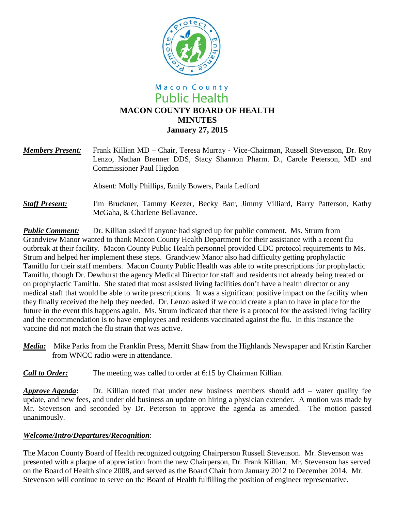

# Macon County **Public Health MACON COUNTY BOARD OF HEALTH MINUTES January 27, 2015**

*Members Present:* Frank Killian MD – Chair, Teresa Murray - Vice-Chairman, Russell Stevenson, Dr. Roy Lenzo, Nathan Brenner DDS, Stacy Shannon Pharm. D., Carole Peterson, MD and Commissioner Paul Higdon

Absent: Molly Phillips, Emily Bowers, Paula Ledford

*Staff Present:*Jim Bruckner, Tammy Keezer, Becky Barr, Jimmy Villiard, Barry Patterson, Kathy McGaha, & Charlene Bellavance.

**Public Comment:** Dr. Killian asked if anyone had signed up for public comment. Ms. Strum from Grandview Manor wanted to thank Macon County Health Department for their assistance with a recent flu outbreak at their facility. Macon County Public Health personnel provided CDC protocol requirements to Ms. Strum and helped her implement these steps. Grandview Manor also had difficulty getting prophylactic Tamiflu for their staff members. Macon County Public Health was able to write prescriptions for prophylactic Tamiflu, though Dr. Dewhurst the agency Medical Director for staff and residents not already being treated or on prophylactic Tamiflu. She stated that most assisted living facilities don't have a health director or any medical staff that would be able to write prescriptions. It was a significant positive impact on the facility when they finally received the help they needed. Dr. Lenzo asked if we could create a plan to have in place for the future in the event this happens again. Ms. Strum indicated that there is a protocol for the assisted living facility and the recommendation is to have employees and residents vaccinated against the flu. In this instance the vaccine did not match the flu strain that was active.

- *Media:* Mike Parks from the Franklin Press, Merritt Shaw from the Highlands Newspaper and Kristin Karcher from WNCC radio were in attendance.
- *Call to Order:* The meeting was called to order at 6:15 by Chairman Killian.

*Approve Agenda***:** Dr. Killian noted that under new business members should add – water quality fee update, and new fees, and under old business an update on hiring a physician extender. A motion was made by Mr. Stevenson and seconded by Dr. Peterson to approve the agenda as amended. The motion passed unanimously.

## *Welcome/Intro/Departures/Recognition*:

The Macon County Board of Health recognized outgoing Chairperson Russell Stevenson. Mr. Stevenson was presented with a plaque of appreciation from the new Chairperson, Dr. Frank Killian. Mr. Stevenson has served on the Board of Health since 2008, and served as the Board Chair from January 2012 to December 2014. Mr. Stevenson will continue to serve on the Board of Health fulfilling the position of engineer representative.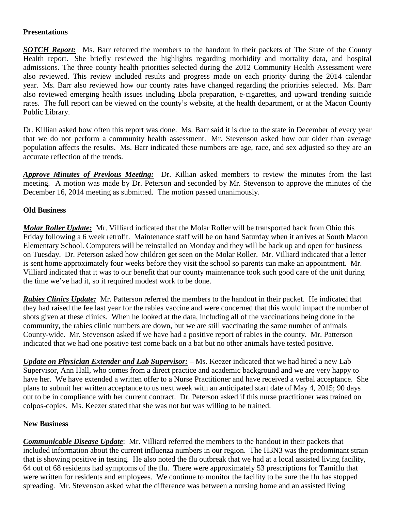## **Presentations**

*SOTCH Report:* Ms. Barr referred the members to the handout in their packets of The State of the County Health report. She briefly reviewed the highlights regarding morbidity and mortality data, and hospital admissions. The three county health priorities selected during the 2012 Community Health Assessment were also reviewed. This review included results and progress made on each priority during the 2014 calendar year. Ms. Barr also reviewed how our county rates have changed regarding the priorities selected. Ms. Barr also reviewed emerging health issues including Ebola preparation, e-cigarettes, and upward trending suicide rates. The full report can be viewed on the county's website, at the health department, or at the Macon County Public Library.

Dr. Killian asked how often this report was done. Ms. Barr said it is due to the state in December of every year that we do not perform a community health assessment. Mr. Stevenson asked how our older than average population affects the results. Ms. Barr indicated these numbers are age, race, and sex adjusted so they are an accurate reflection of the trends.

*Approve Minutes of Previous Meeting:* Dr. Killian asked members to review the minutes from the last meeting. A motion was made by Dr. Peterson and seconded by Mr. Stevenson to approve the minutes of the December 16, 2014 meeting as submitted. The motion passed unanimously.

## **Old Business**

*Molar Roller Update:* Mr. Villiard indicated that the Molar Roller will be transported back from Ohio this Friday following a 6 week retrofit. Maintenance staff will be on hand Saturday when it arrives at South Macon Elementary School. Computers will be reinstalled on Monday and they will be back up and open for business on Tuesday. Dr. Peterson asked how children get seen on the Molar Roller. Mr. Villiard indicated that a letter is sent home approximately four weeks before they visit the school so parents can make an appointment. Mr. Villiard indicated that it was to our benefit that our county maintenance took such good care of the unit during the time we've had it, so it required modest work to be done.

*Rabies Clinics Update:* Mr. Patterson referred the members to the handout in their packet. He indicated that they had raised the fee last year for the rabies vaccine and were concerned that this would impact the number of shots given at these clinics. When he looked at the data, including all of the vaccinations being done in the community, the rabies clinic numbers are down, but we are still vaccinating the same number of animals County-wide. Mr. Stevenson asked if we have had a positive report of rabies in the county. Mr. Patterson indicated that we had one positive test come back on a bat but no other animals have tested positive.

*Update on Physician Extender and Lab Supervisor:* – Ms. Keezer indicated that we had hired a new Lab Supervisor, Ann Hall, who comes from a direct practice and academic background and we are very happy to have her. We have extended a written offer to a Nurse Practitioner and have received a verbal acceptance. She plans to submit her written acceptance to us next week with an anticipated start date of May 4, 2015; 90 days out to be in compliance with her current contract. Dr. Peterson asked if this nurse practitioner was trained on colpos-copies. Ms. Keezer stated that she was not but was willing to be trained.

#### **New Business**

*Communicable Disease Update*: Mr. Villiard referred the members to the handout in their packets that included information about the current influenza numbers in our region. The H3N3 was the predominant strain that is showing positive in testing. He also noted the flu outbreak that we had at a local assisted living facility, 64 out of 68 residents had symptoms of the flu. There were approximately 53 prescriptions for Tamiflu that were written for residents and employees. We continue to monitor the facility to be sure the flu has stopped spreading. Mr. Stevenson asked what the difference was between a nursing home and an assisted living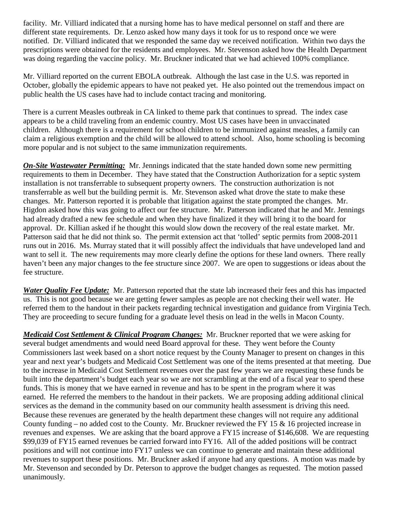facility. Mr. Villiard indicated that a nursing home has to have medical personnel on staff and there are different state requirements. Dr. Lenzo asked how many days it took for us to respond once we were notified. Dr. Villiard indicated that we responded the same day we received notification. Within two days the prescriptions were obtained for the residents and employees. Mr. Stevenson asked how the Health Department was doing regarding the vaccine policy. Mr. Bruckner indicated that we had achieved 100% compliance.

Mr. Villiard reported on the current EBOLA outbreak. Although the last case in the U.S. was reported in October, globally the epidemic appears to have not peaked yet. He also pointed out the tremendous impact on public health the US cases have had to include contact tracing and monitoring.

There is a current Measles outbreak in CA linked to theme park that continues to spread. The index case appears to be a child traveling from an endemic country. Most US cases have been in unvaccinated children. Although there is a requirement for school children to be immunized against measles, a family can claim a religious exemption and the child will be allowed to attend school. Also, home schooling is becoming more popular and is not subject to the same immunization requirements.

*On-Site Wastewater Permitting:* Mr. Jennings indicated that the state handed down some new permitting requirements to them in December. They have stated that the Construction Authorization for a septic system installation is not transferrable to subsequent property owners. The construction authorization is not transferrable as well but the building permit is. Mr. Stevenson asked what drove the state to make these changes. Mr. Patterson reported it is probable that litigation against the state prompted the changes. Mr. Higdon asked how this was going to affect our fee structure. Mr. Patterson indicated that he and Mr. Jennings had already drafted a new fee schedule and when they have finalized it they will bring it to the board for approval. Dr. Killian asked if he thought this would slow down the recovery of the real estate market. Mr. Patterson said that he did not think so. The permit extension act that 'tolled' septic permits from 2008-2011 runs out in 2016. Ms. Murray stated that it will possibly affect the individuals that have undeveloped land and want to sell it. The new requirements may more clearly define the options for these land owners. There really haven't been any major changes to the fee structure since 2007. We are open to suggestions or ideas about the fee structure.

*Water Quality Fee Update:* Mr. Patterson reported that the state lab increased their fees and this has impacted us. This is not good because we are getting fewer samples as people are not checking their well water. He referred them to the handout in their packets regarding technical investigation and guidance from Virginia Tech. They are proceeding to secure funding for a graduate level thesis on lead in the wells in Macon County.

*Medicaid Cost Settlement & Clinical Program Changes:* Mr. Bruckner reported that we were asking for several budget amendments and would need Board approval for these. They went before the County Commissioners last week based on a short notice request by the County Manager to present on changes in this year and next year's budgets and Medicaid Cost Settlement was one of the items presented at that meeting. Due to the increase in Medicaid Cost Settlement revenues over the past few years we are requesting these funds be built into the department's budget each year so we are not scrambling at the end of a fiscal year to spend these funds. This is money that we have earned in revenue and has to be spent in the program where it was earned. He referred the members to the handout in their packets. We are proposing adding additional clinical services as the demand in the community based on our community health assessment is driving this need. Because these revenues are generated by the health department these changes will not require any additional County funding – no added cost to the County. Mr. Bruckner reviewed the FY 15 & 16 projected increase in revenues and expenses. We are asking that the board approve a FY15 increase of \$146,608. We are requesting \$99,039 of FY15 earned revenues be carried forward into FY16. All of the added positions will be contract positions and will not continue into FY17 unless we can continue to generate and maintain these additional revenues to support these positions. Mr. Bruckner asked if anyone had any questions. A motion was made by Mr. Stevenson and seconded by Dr. Peterson to approve the budget changes as requested. The motion passed unanimously.